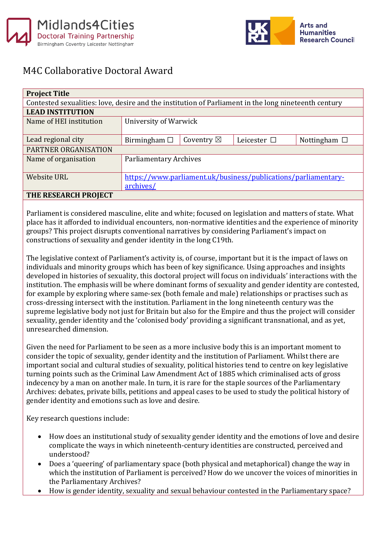



## M4C Collaborative Doctoral Award

| <b>Project Title</b>                                                                                 |                                                                |                      |                  |                   |
|------------------------------------------------------------------------------------------------------|----------------------------------------------------------------|----------------------|------------------|-------------------|
| Contested sexualities: love, desire and the institution of Parliament in the long nineteenth century |                                                                |                      |                  |                   |
| <b>LEAD INSTITUTION</b>                                                                              |                                                                |                      |                  |                   |
| Name of HEI institution                                                                              | University of Warwick                                          |                      |                  |                   |
|                                                                                                      |                                                                |                      |                  |                   |
| Lead regional city                                                                                   | Birmingham $\square$                                           | Coventry $\boxtimes$ | Leicester $\Box$ | Nottingham $\Box$ |
| PARTNER ORGANISATION                                                                                 |                                                                |                      |                  |                   |
| Name of organisation                                                                                 | <b>Parliamentary Archives</b>                                  |                      |                  |                   |
|                                                                                                      |                                                                |                      |                  |                   |
| <b>Website URL</b>                                                                                   | https://www.parliament.uk/business/publications/parliamentary- |                      |                  |                   |
|                                                                                                      | archives/                                                      |                      |                  |                   |
| THE RESEARCH PROJECT                                                                                 |                                                                |                      |                  |                   |

Parliament is considered masculine, elite and white; focused on legislation and matters of state. What place has it afforded to individual encounters, non-normative identities and the experience of minority groups? This project disrupts conventional narratives by considering Parliament's impact on constructions of sexuality and gender identity in the long C19th.

The legislative context of Parliament's activity is, of course, important but it is the impact of laws on individuals and minority groups which has been of key significance. Using approaches and insights developed in histories of sexuality, this doctoral project will focus on individuals' interactions with the institution. The emphasis will be where dominant forms of sexuality and gender identity are contested, for example by exploring where same-sex (both female and male) relationships or practises such as cross-dressing intersect with the institution. Parliament in the long nineteenth century was the supreme legislative body not just for Britain but also for the Empire and thus the project will consider sexuality, gender identity and the 'colonised body' providing a significant transnational, and as yet, unresearched dimension.

Given the need for Parliament to be seen as a more inclusive body this is an important moment to consider the topic of sexuality, gender identity and the institution of Parliament. Whilst there are important social and cultural studies of sexuality, political histories tend to centre on key legislative turning points such as the Criminal Law Amendment Act of 1885 which criminalised acts of gross indecency by a man on another male. In turn, it is rare for the staple sources of the Parliamentary Archives: debates, private bills, petitions and appeal cases to be used to study the political history of gender identity and emotions such as love and desire.

Key research questions include:

- How does an institutional study of sexuality gender identity and the emotions of love and desire complicate the ways in which nineteenth-century identities are constructed, perceived and understood?
- Does a 'queering' of parliamentary space (both physical and metaphorical) change the way in which the institution of Parliament is perceived? How do we uncover the voices of minorities in the Parliamentary Archives?
- How is gender identity, sexuality and sexual behaviour contested in the Parliamentary space?